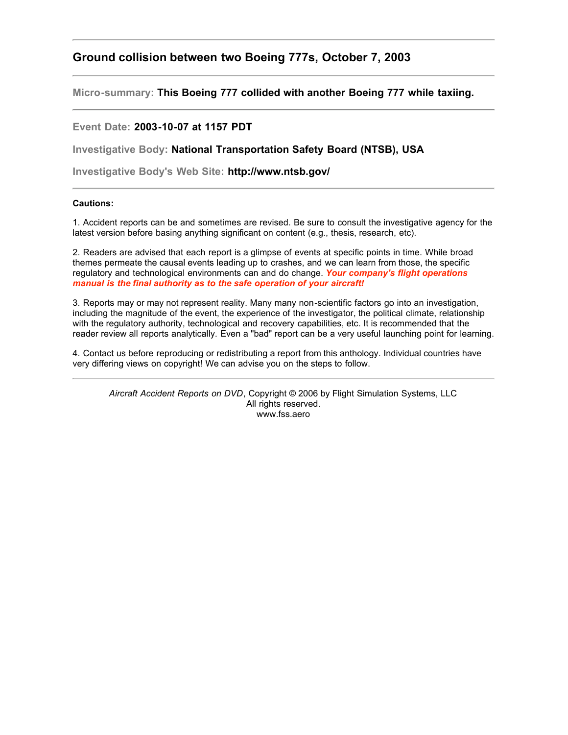# **Ground collision between two Boeing 777s, October 7, 2003**

**Micro-summary: This Boeing 777 collided with another Boeing 777 while taxiing.**

## **Event Date: 2003-10-07 at 1157 PDT**

**Investigative Body: National Transportation Safety Board (NTSB), USA**

**Investigative Body's Web Site: http://www.ntsb.gov/**

## **Cautions:**

1. Accident reports can be and sometimes are revised. Be sure to consult the investigative agency for the latest version before basing anything significant on content (e.g., thesis, research, etc).

2. Readers are advised that each report is a glimpse of events at specific points in time. While broad themes permeate the causal events leading up to crashes, and we can learn from those, the specific regulatory and technological environments can and do change. *Your company's flight operations manual is the final authority as to the safe operation of your aircraft!*

3. Reports may or may not represent reality. Many many non-scientific factors go into an investigation, including the magnitude of the event, the experience of the investigator, the political climate, relationship with the regulatory authority, technological and recovery capabilities, etc. It is recommended that the reader review all reports analytically. Even a "bad" report can be a very useful launching point for learning.

4. Contact us before reproducing or redistributing a report from this anthology. Individual countries have very differing views on copyright! We can advise you on the steps to follow.

*Aircraft Accident Reports on DVD*, Copyright © 2006 by Flight Simulation Systems, LLC All rights reserved. www.fss.aero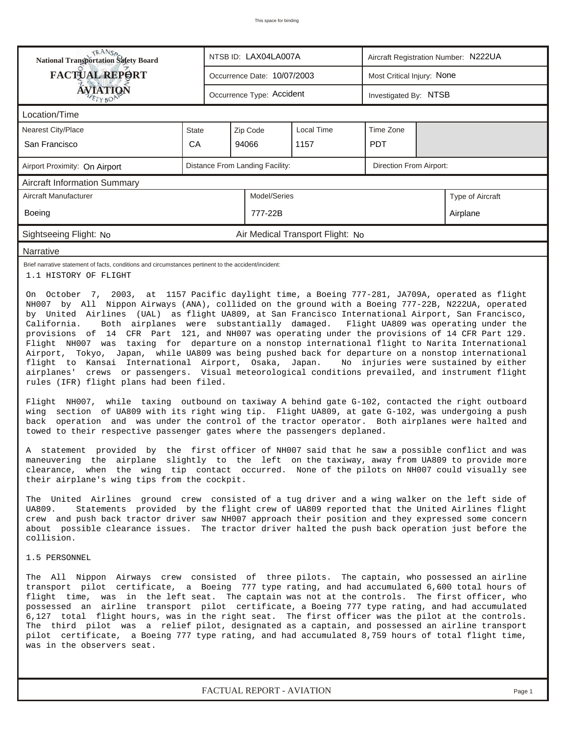| <b>FACTUAL REPORT</b><br>Most Critical Injury: None<br>Occurrence Date: 10/07/2003<br>AVIATION<br>Occurrence Type: Accident<br>Investigated By: NTSB<br>Location/Time<br><b>Nearest City/Place</b><br>Local Time<br>Time Zone<br><b>State</b><br>Zip Code<br>CA<br>San Francisco<br>94066<br>1157<br><b>PDT</b><br>Distance From Landing Facility:<br>Direction From Airport:<br>Airport Proximity: On Airport<br><b>Aircraft Information Summary</b><br>Aircraft Manufacturer<br>Model/Series<br>Type of Aircraft<br>Boeing<br>777-22B<br>Airplane<br>Air Medical Transport Flight: No<br>Sightseeing Flight: No<br>Narrative<br>Brief narrative statement of facts, conditions and circumstances pertinent to the accident/incident:<br>1.1 HISTORY OF FLIGHT<br>On October 7, 2003, at 1157 Pacific daylight time, a Boeing 777-281, JA709A, operated as flight<br>NH007 by All Nippon Airways (ANA), collided on the ground with a Boeing 777-22B, N222UA, operated<br>by United Airlines (UAL) as flight UA809, at San Francisco International Airport, San Francisco,<br>Both airplanes were substantially damaged. Flight UA809 was operating under the<br>California.<br>provisions of 14 CFR Part 121, and NH007 was operating under the provisions of 14 CFR Part 129.<br>Flight NH007 was taxing for departure on a nonstop international flight to Narita International<br>Airport, Tokyo, Japan, while UA809 was being pushed back for departure on a nonstop international<br>flight to Kansai International Airport, Osaka, Japan.<br>No injuries were sustained by either<br>crews or passengers. Visual meteorological conditions prevailed, and instrument flight<br>airplanes'<br>rules (IFR) flight plans had been filed.<br>Flight NH007, while taxing outbound on taxiway A behind gate G-102, contacted the right outboard<br>wing section of UA809 with its right wing tip. Flight UA809, at gate G-102, was undergoing a push<br>back operation and was under the control of the tractor operator. Both airplanes were halted and<br>towed to their respective passenger gates where the passengers deplaned.<br>A statement provided by the first officer of NH007 said that he saw a possible conflict and was<br>maneuvering the airplane slightly to the left on the taxiway, away from UA809 to provide more<br>clearance, when the wing tip contact occurred. None of the pilots on NH007 could visually see<br>their airplane's wing tips from the cockpit.<br>The United Airlines ground crew consisted of a tug driver and a wing walker on the left side of<br>Statements provided by the flight crew of UA809 reported that the United Airlines flight<br>UA809.<br>crew and push back tractor driver saw NH007 approach their position and they expressed some concern<br>about possible clearance issues. The tractor driver halted the push back operation just before the<br>collision.<br>1.5 PERSONNEL<br>The All Nippon Airways crew consisted of three pilots. The captain, who possessed an airline<br>transport pilot certificate, a Boeing 777 type rating, and had accumulated 6,600 total hours of<br>flight time, was in the left seat. The captain was not at the controls. The first officer, who<br>possessed an airline transport pilot certificate, a Boeing 777 type rating, and had accumulated<br>6,127 total flight hours, was in the right seat. The first officer was the pilot at the controls. | <b>National Transportation Safety Board</b> |  |  | NTSB ID: LAX04LA007A |  | Aircraft Registration Number: N222UA |  |  |  |  |
|---------------------------------------------------------------------------------------------------------------------------------------------------------------------------------------------------------------------------------------------------------------------------------------------------------------------------------------------------------------------------------------------------------------------------------------------------------------------------------------------------------------------------------------------------------------------------------------------------------------------------------------------------------------------------------------------------------------------------------------------------------------------------------------------------------------------------------------------------------------------------------------------------------------------------------------------------------------------------------------------------------------------------------------------------------------------------------------------------------------------------------------------------------------------------------------------------------------------------------------------------------------------------------------------------------------------------------------------------------------------------------------------------------------------------------------------------------------------------------------------------------------------------------------------------------------------------------------------------------------------------------------------------------------------------------------------------------------------------------------------------------------------------------------------------------------------------------------------------------------------------------------------------------------------------------------------------------------------------------------------------------------------------------------------------------------------------------------------------------------------------------------------------------------------------------------------------------------------------------------------------------------------------------------------------------------------------------------------------------------------------------------------------------------------------------------------------------------------------------------------------------------------------------------------------------------------------------------------------------------------------------------------------------------------------------------------------------------------------------------------------------------------------------------------------------------------------------------------------------------------------------------------------------------------------------------------------------------------------------------------------------------------------------------------------------------------------------------------------------------------------------------------------------------------------------------------------------------------------------------------------------------------------------------------------------------------------------------------------------------------------------------------------------------------------------------------------------------|---------------------------------------------|--|--|----------------------|--|--------------------------------------|--|--|--|--|
|                                                                                                                                                                                                                                                                                                                                                                                                                                                                                                                                                                                                                                                                                                                                                                                                                                                                                                                                                                                                                                                                                                                                                                                                                                                                                                                                                                                                                                                                                                                                                                                                                                                                                                                                                                                                                                                                                                                                                                                                                                                                                                                                                                                                                                                                                                                                                                                                                                                                                                                                                                                                                                                                                                                                                                                                                                                                                                                                                                                                                                                                                                                                                                                                                                                                                                                                                                                                                                                               |                                             |  |  |                      |  |                                      |  |  |  |  |
|                                                                                                                                                                                                                                                                                                                                                                                                                                                                                                                                                                                                                                                                                                                                                                                                                                                                                                                                                                                                                                                                                                                                                                                                                                                                                                                                                                                                                                                                                                                                                                                                                                                                                                                                                                                                                                                                                                                                                                                                                                                                                                                                                                                                                                                                                                                                                                                                                                                                                                                                                                                                                                                                                                                                                                                                                                                                                                                                                                                                                                                                                                                                                                                                                                                                                                                                                                                                                                                               |                                             |  |  |                      |  |                                      |  |  |  |  |
|                                                                                                                                                                                                                                                                                                                                                                                                                                                                                                                                                                                                                                                                                                                                                                                                                                                                                                                                                                                                                                                                                                                                                                                                                                                                                                                                                                                                                                                                                                                                                                                                                                                                                                                                                                                                                                                                                                                                                                                                                                                                                                                                                                                                                                                                                                                                                                                                                                                                                                                                                                                                                                                                                                                                                                                                                                                                                                                                                                                                                                                                                                                                                                                                                                                                                                                                                                                                                                                               |                                             |  |  |                      |  |                                      |  |  |  |  |
|                                                                                                                                                                                                                                                                                                                                                                                                                                                                                                                                                                                                                                                                                                                                                                                                                                                                                                                                                                                                                                                                                                                                                                                                                                                                                                                                                                                                                                                                                                                                                                                                                                                                                                                                                                                                                                                                                                                                                                                                                                                                                                                                                                                                                                                                                                                                                                                                                                                                                                                                                                                                                                                                                                                                                                                                                                                                                                                                                                                                                                                                                                                                                                                                                                                                                                                                                                                                                                                               |                                             |  |  |                      |  |                                      |  |  |  |  |
|                                                                                                                                                                                                                                                                                                                                                                                                                                                                                                                                                                                                                                                                                                                                                                                                                                                                                                                                                                                                                                                                                                                                                                                                                                                                                                                                                                                                                                                                                                                                                                                                                                                                                                                                                                                                                                                                                                                                                                                                                                                                                                                                                                                                                                                                                                                                                                                                                                                                                                                                                                                                                                                                                                                                                                                                                                                                                                                                                                                                                                                                                                                                                                                                                                                                                                                                                                                                                                                               |                                             |  |  |                      |  |                                      |  |  |  |  |
|                                                                                                                                                                                                                                                                                                                                                                                                                                                                                                                                                                                                                                                                                                                                                                                                                                                                                                                                                                                                                                                                                                                                                                                                                                                                                                                                                                                                                                                                                                                                                                                                                                                                                                                                                                                                                                                                                                                                                                                                                                                                                                                                                                                                                                                                                                                                                                                                                                                                                                                                                                                                                                                                                                                                                                                                                                                                                                                                                                                                                                                                                                                                                                                                                                                                                                                                                                                                                                                               |                                             |  |  |                      |  |                                      |  |  |  |  |
|                                                                                                                                                                                                                                                                                                                                                                                                                                                                                                                                                                                                                                                                                                                                                                                                                                                                                                                                                                                                                                                                                                                                                                                                                                                                                                                                                                                                                                                                                                                                                                                                                                                                                                                                                                                                                                                                                                                                                                                                                                                                                                                                                                                                                                                                                                                                                                                                                                                                                                                                                                                                                                                                                                                                                                                                                                                                                                                                                                                                                                                                                                                                                                                                                                                                                                                                                                                                                                                               |                                             |  |  |                      |  |                                      |  |  |  |  |
|                                                                                                                                                                                                                                                                                                                                                                                                                                                                                                                                                                                                                                                                                                                                                                                                                                                                                                                                                                                                                                                                                                                                                                                                                                                                                                                                                                                                                                                                                                                                                                                                                                                                                                                                                                                                                                                                                                                                                                                                                                                                                                                                                                                                                                                                                                                                                                                                                                                                                                                                                                                                                                                                                                                                                                                                                                                                                                                                                                                                                                                                                                                                                                                                                                                                                                                                                                                                                                                               |                                             |  |  |                      |  |                                      |  |  |  |  |
|                                                                                                                                                                                                                                                                                                                                                                                                                                                                                                                                                                                                                                                                                                                                                                                                                                                                                                                                                                                                                                                                                                                                                                                                                                                                                                                                                                                                                                                                                                                                                                                                                                                                                                                                                                                                                                                                                                                                                                                                                                                                                                                                                                                                                                                                                                                                                                                                                                                                                                                                                                                                                                                                                                                                                                                                                                                                                                                                                                                                                                                                                                                                                                                                                                                                                                                                                                                                                                                               |                                             |  |  |                      |  |                                      |  |  |  |  |
|                                                                                                                                                                                                                                                                                                                                                                                                                                                                                                                                                                                                                                                                                                                                                                                                                                                                                                                                                                                                                                                                                                                                                                                                                                                                                                                                                                                                                                                                                                                                                                                                                                                                                                                                                                                                                                                                                                                                                                                                                                                                                                                                                                                                                                                                                                                                                                                                                                                                                                                                                                                                                                                                                                                                                                                                                                                                                                                                                                                                                                                                                                                                                                                                                                                                                                                                                                                                                                                               |                                             |  |  |                      |  |                                      |  |  |  |  |
|                                                                                                                                                                                                                                                                                                                                                                                                                                                                                                                                                                                                                                                                                                                                                                                                                                                                                                                                                                                                                                                                                                                                                                                                                                                                                                                                                                                                                                                                                                                                                                                                                                                                                                                                                                                                                                                                                                                                                                                                                                                                                                                                                                                                                                                                                                                                                                                                                                                                                                                                                                                                                                                                                                                                                                                                                                                                                                                                                                                                                                                                                                                                                                                                                                                                                                                                                                                                                                                               |                                             |  |  |                      |  |                                      |  |  |  |  |
|                                                                                                                                                                                                                                                                                                                                                                                                                                                                                                                                                                                                                                                                                                                                                                                                                                                                                                                                                                                                                                                                                                                                                                                                                                                                                                                                                                                                                                                                                                                                                                                                                                                                                                                                                                                                                                                                                                                                                                                                                                                                                                                                                                                                                                                                                                                                                                                                                                                                                                                                                                                                                                                                                                                                                                                                                                                                                                                                                                                                                                                                                                                                                                                                                                                                                                                                                                                                                                                               |                                             |  |  |                      |  |                                      |  |  |  |  |
| The third pilot was a relief pilot, designated as a captain, and possessed an airline transport<br>pilot certificate, a Boeing 777 type rating, and had accumulated 8,759 hours of total flight time,<br>was in the observers seat.                                                                                                                                                                                                                                                                                                                                                                                                                                                                                                                                                                                                                                                                                                                                                                                                                                                                                                                                                                                                                                                                                                                                                                                                                                                                                                                                                                                                                                                                                                                                                                                                                                                                                                                                                                                                                                                                                                                                                                                                                                                                                                                                                                                                                                                                                                                                                                                                                                                                                                                                                                                                                                                                                                                                                                                                                                                                                                                                                                                                                                                                                                                                                                                                                           |                                             |  |  |                      |  |                                      |  |  |  |  |
| FACTUAL REPORT - AVIATION<br>Page 1                                                                                                                                                                                                                                                                                                                                                                                                                                                                                                                                                                                                                                                                                                                                                                                                                                                                                                                                                                                                                                                                                                                                                                                                                                                                                                                                                                                                                                                                                                                                                                                                                                                                                                                                                                                                                                                                                                                                                                                                                                                                                                                                                                                                                                                                                                                                                                                                                                                                                                                                                                                                                                                                                                                                                                                                                                                                                                                                                                                                                                                                                                                                                                                                                                                                                                                                                                                                                           |                                             |  |  |                      |  |                                      |  |  |  |  |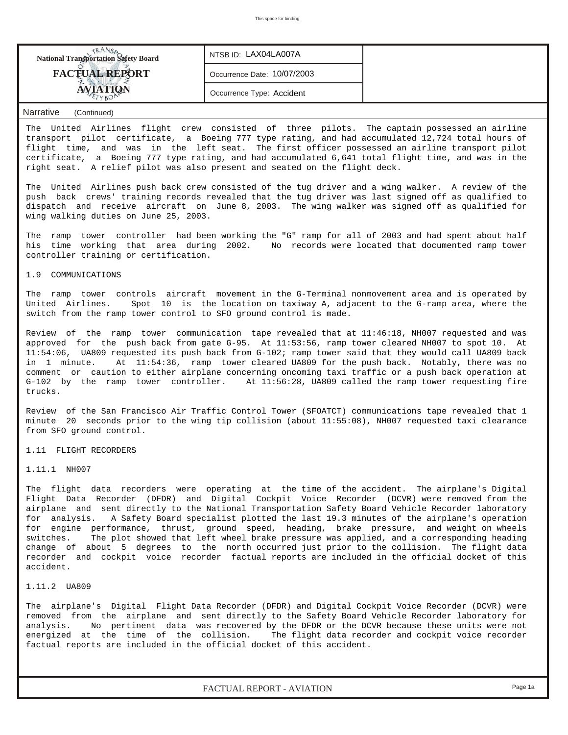| <b>National Transportation Safety Board</b> | NTSB ID: LAX04LA007A        |  |
|---------------------------------------------|-----------------------------|--|
| <b>FACTUAL REPORT</b>                       | Occurrence Date: 10/07/2003 |  |
|                                             | Occurrence Type: Accident   |  |
|                                             |                             |  |

## *Narrative (Continued)*

The United Airlines flight crew consisted of three pilots. The captain possessed an airline transport pilot certificate, a Boeing 777 type rating, and had accumulated 12,724 total hours of flight time, and was in the left seat. The first officer possessed an airline transport pilot certificate, a Boeing 777 type rating, and had accumulated 6,641 total flight time, and was in the right seat. A relief pilot was also present and seated on the flight deck.

The United Airlines push back crew consisted of the tug driver and a wing walker. A review of the push back crews' training records revealed that the tug driver was last signed off as qualified to dispatch and receive aircraft on June 8, 2003. The wing walker was signed off as qualified for wing walking duties on June 25, 2003.

The ramp tower controller had been working the "G" ramp for all of 2003 and had spent about half his time working that area during 2002. No records were located that documented ramp tower controller training or certification.

## 1.9 COMMUNICATIONS

The ramp tower controls aircraft movement in the G-Terminal nonmovement area and is operated by United Airlines. Spot 10 is the location on taxiway A, adjacent to the G-ramp area, where the switch from the ramp tower control to SFO ground control is made.

Review of the ramp tower communication tape revealed that at 11:46:18, NH007 requested and was approved for the push back from gate G-95. At 11:53:56, ramp tower cleared NH007 to spot 10. At 11:54:06, UA809 requested its push back from G-102; ramp tower said that they would call UA809 back in 1 minute. At 11:54:36, ramp tower cleared UA809 for the push back. Notably, there was no comment or caution to either airplane concerning oncoming taxi traffic or a push back operation at G-102 by the ramp tower controller. At 11:56:28, UA809 called the ramp tower requesting fire trucks.

Review of the San Francisco Air Traffic Control Tower (SFOATCT) communications tape revealed that 1 minute 20 seconds prior to the wing tip collision (about 11:55:08), NH007 requested taxi clearance from SFO ground control.

### 1.11 FLIGHT RECORDERS

## 1.11.1 NH007

The flight data recorders were operating at the time of the accident. The airplane's Digital Flight Data Recorder (DFDR) and Digital Cockpit Voice Recorder (DCVR) were removed from the airplane and sent directly to the National Transportation Safety Board Vehicle Recorder laboratory for analysis. A Safety Board specialist plotted the last 19.3 minutes of the airplane's operation for engine performance, thrust, ground speed, heading, brake pressure, and weight on wheels switches. The plot showed that left wheel brake pressure was applied, and a corresponding heading change of about 5 degrees to the north occurred just prior to the collision. The flight data recorder and cockpit voice recorder factual reports are included in the official docket of this accident.

## 1.11.2 UA809

The airplane's Digital Flight Data Recorder (DFDR) and Digital Cockpit Voice Recorder (DCVR) were removed from the airplane and sent directly to the Safety Board Vehicle Recorder laboratory for analysis. No pertinent data was recovered by the DFDR or the DCVR because these units were not energized at the time of the collision. The flight data recorder and cockpit voice recorder factual reports are included in the official docket of this accident.

*FACTUAL REPORT - AVIATION Page 1a*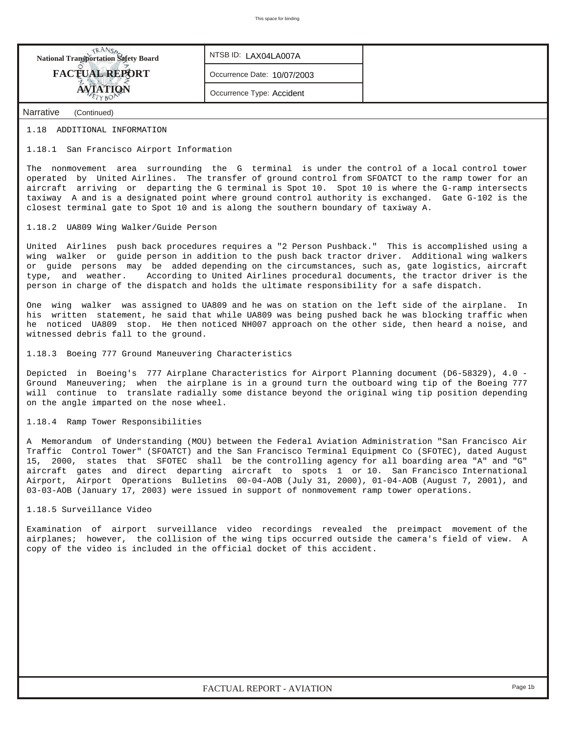| <b>NANSA</b><br>National Transportation Safety Board |  |
|------------------------------------------------------|--|
| <b>FACTUAL REPORT</b>                                |  |
| <b>TYRON</b>                                         |  |

*NTSB ID:* LAX04LA007A

*Occurrence Date:* 10/07/2003

*Occurrence Type:* Accident

*Narrative (Continued)*

### 1.18 ADDITIONAL INFORMATION

## 1.18.1 San Francisco Airport Information

The nonmovement area surrounding the G terminal is under the control of a local control tower operated by United Airlines. The transfer of ground control from SFOATCT to the ramp tower for an aircraft arriving or departing the G terminal is Spot 10. Spot 10 is where the G-ramp intersects taxiway A and is a designated point where ground control authority is exchanged. Gate G-102 is the closest terminal gate to Spot 10 and is along the southern boundary of taxiway A.

### 1.18.2 UA809 Wing Walker/Guide Person

United Airlines push back procedures requires a "2 Person Pushback." This is accomplished using a wing walker or guide person in addition to the push back tractor driver. Additional wing walkers or guide persons may be added depending on the circumstances, such as, gate logistics, aircraft type, and weather. According to United Airlines procedural documents, the tractor driver is the person in charge of the dispatch and holds the ultimate responsibility for a safe dispatch.

One wing walker was assigned to UA809 and he was on station on the left side of the airplane. In his written statement, he said that while UA809 was being pushed back he was blocking traffic when he noticed UA809 stop. He then noticed NH007 approach on the other side, then heard a noise, and witnessed debris fall to the ground.

1.18.3 Boeing 777 Ground Maneuvering Characteristics

Depicted in Boeing's 777 Airplane Characteristics for Airport Planning document (D6-58329), 4.0 - Ground Maneuvering; when the airplane is in a ground turn the outboard wing tip of the Boeing 777 will continue to translate radially some distance beyond the original wing tip position depending on the angle imparted on the nose wheel.

## 1.18.4 Ramp Tower Responsibilities

A Memorandum of Understanding (MOU) between the Federal Aviation Administration "San Francisco Air Traffic Control Tower" (SFOATCT) and the San Francisco Terminal Equipment Co (SFOTEC), dated August 15, 2000, states that SFOTEC shall be the controlling agency for all boarding area "A" and "G" aircraft gates and direct departing aircraft to spots 1 or 10. San Francisco International Airport, Airport Operations Bulletins 00-04-AOB (July 31, 2000), 01-04-AOB (August 7, 2001), and 03-03-AOB (January 17, 2003) were issued in support of nonmovement ramp tower operations.

## 1.18.5 Surveillance Video

Examination of airport surveillance video recordings revealed the preimpact movement of the airplanes; however, the collision of the wing tips occurred outside the camera's field of view. A copy of the video is included in the official docket of this accident.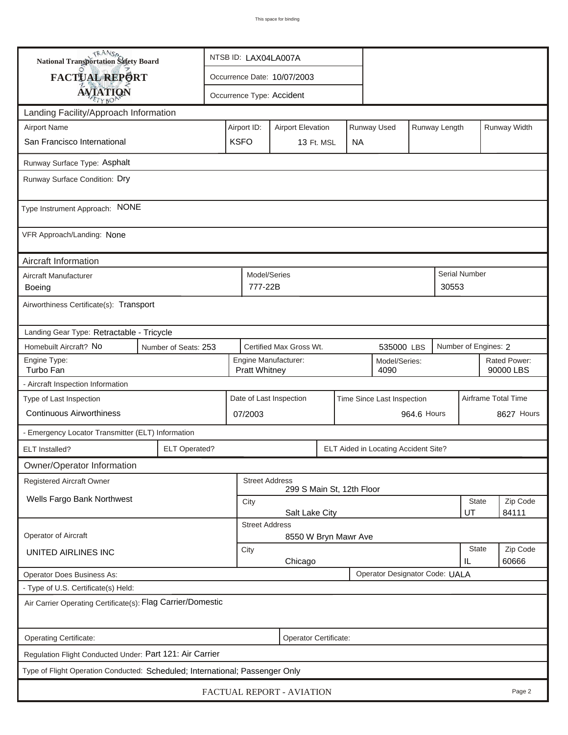| <b>National Transportation Safety Board</b>                                  |                                                 | NTSB ID: LAX04LA007A     |                                                       |                                                                       |             |           |                                      |  |                           |                      |                   |  |
|------------------------------------------------------------------------------|-------------------------------------------------|--------------------------|-------------------------------------------------------|-----------------------------------------------------------------------|-------------|-----------|--------------------------------------|--|---------------------------|----------------------|-------------------|--|
| FACTUAL REPORT                                                               |                                                 |                          |                                                       | Occurrence Date: 10/07/2003                                           |             |           |                                      |  |                           |                      |                   |  |
| <b>AVIATION</b>                                                              |                                                 |                          |                                                       | Occurrence Type: Accident                                             |             |           |                                      |  |                           |                      |                   |  |
| Landing Facility/Approach Information                                        |                                                 |                          |                                                       |                                                                       |             |           |                                      |  |                           |                      |                   |  |
| <b>Airport Name</b>                                                          | Airport ID:                                     | <b>Airport Elevation</b> |                                                       |                                                                       | Runway Used |           | Runway Length                        |  | Runway Width              |                      |                   |  |
| San Francisco International<br><b>KSFO</b>                                   |                                                 |                          |                                                       | 13 Ft. MSL                                                            |             | <b>NA</b> |                                      |  |                           |                      |                   |  |
| Runway Surface Type: Asphalt                                                 |                                                 |                          |                                                       |                                                                       |             |           |                                      |  |                           |                      |                   |  |
| Runway Surface Condition: Dry                                                |                                                 |                          |                                                       |                                                                       |             |           |                                      |  |                           |                      |                   |  |
| Type Instrument Approach: NONE                                               |                                                 |                          |                                                       |                                                                       |             |           |                                      |  |                           |                      |                   |  |
| VFR Approach/Landing: None                                                   |                                                 |                          |                                                       |                                                                       |             |           |                                      |  |                           |                      |                   |  |
| Aircraft Information                                                         |                                                 |                          |                                                       |                                                                       |             |           |                                      |  |                           |                      |                   |  |
| Aircraft Manufacturer<br>Boeing                                              |                                                 |                          | 777-22B                                               | Model/Series                                                          |             |           |                                      |  | 30553                     | <b>Serial Number</b> |                   |  |
| Airworthiness Certificate(s): Transport                                      |                                                 |                          |                                                       |                                                                       |             |           |                                      |  |                           |                      |                   |  |
| Landing Gear Type: Retractable - Tricycle                                    |                                                 |                          |                                                       |                                                                       |             |           |                                      |  |                           |                      |                   |  |
| Homebuilt Aircraft? No                                                       | Certified Max Gross Wt.<br>Number of Seats: 253 |                          |                                                       |                                                                       |             |           | 535000 LBS                           |  |                           | Number of Engines: 2 |                   |  |
| Engine Type:<br>Turbo Fan                                                    |                                                 |                          |                                                       | Engine Manufacturer:<br>Model/Series:<br><b>Pratt Whitney</b><br>4090 |             |           |                                      |  | Rated Power:<br>90000 LBS |                      |                   |  |
| - Aircraft Inspection Information                                            |                                                 |                          |                                                       |                                                                       |             |           |                                      |  |                           |                      |                   |  |
| Type of Last Inspection                                                      |                                                 |                          | Date of Last Inspection<br>Time Since Last Inspection |                                                                       |             |           |                                      |  |                           | Airframe Total Time  |                   |  |
| <b>Continuous Airworthiness</b>                                              |                                                 |                          | 07/2003                                               | 964.6 Hours                                                           |             |           |                                      |  |                           |                      | 8627 Hours        |  |
| - Emergency Locator Transmitter (ELT) Information                            |                                                 |                          |                                                       |                                                                       |             |           |                                      |  |                           |                      |                   |  |
| ELT Installed?                                                               | <b>ELT Operated?</b>                            |                          |                                                       |                                                                       |             |           | ELT Aided in Locating Accident Site? |  |                           |                      |                   |  |
| Owner/Operator Information                                                   |                                                 |                          |                                                       |                                                                       |             |           |                                      |  |                           |                      |                   |  |
| Registered Aircraft Owner                                                    |                                                 |                          |                                                       | <b>Street Address</b><br>299 S Main St, 12th Floor                    |             |           |                                      |  |                           |                      |                   |  |
| Wells Fargo Bank Northwest                                                   |                                                 |                          | State<br>City                                         |                                                                       |             |           |                                      |  |                           |                      | Zip Code          |  |
|                                                                              |                                                 |                          |                                                       | UT<br>84111<br>Salt Lake City<br><b>Street Address</b>                |             |           |                                      |  |                           |                      |                   |  |
| Operator of Aircraft                                                         |                                                 |                          |                                                       | 8550 W Bryn Mawr Ave                                                  |             |           |                                      |  |                           |                      |                   |  |
| UNITED AIRLINES INC                                                          |                                                 |                          |                                                       | <b>State</b><br>City<br>IL<br>Chicago                                 |             |           |                                      |  |                           |                      | Zip Code<br>60666 |  |
| Operator Designator Code: UALA<br><b>Operator Does Business As:</b>          |                                                 |                          |                                                       |                                                                       |             |           |                                      |  |                           |                      |                   |  |
| - Type of U.S. Certificate(s) Held:                                          |                                                 |                          |                                                       |                                                                       |             |           |                                      |  |                           |                      |                   |  |
| Air Carrier Operating Certificate(s): Flag Carrier/Domestic                  |                                                 |                          |                                                       |                                                                       |             |           |                                      |  |                           |                      |                   |  |
| Operating Certificate:<br>Operator Certificate:                              |                                                 |                          |                                                       |                                                                       |             |           |                                      |  |                           |                      |                   |  |
| Regulation Flight Conducted Under: Part 121: Air Carrier                     |                                                 |                          |                                                       |                                                                       |             |           |                                      |  |                           |                      |                   |  |
| Type of Flight Operation Conducted: Scheduled; International; Passenger Only |                                                 |                          |                                                       |                                                                       |             |           |                                      |  |                           |                      |                   |  |
| FACTUAL REPORT - AVIATION<br>Page 2                                          |                                                 |                          |                                                       |                                                                       |             |           |                                      |  |                           |                      |                   |  |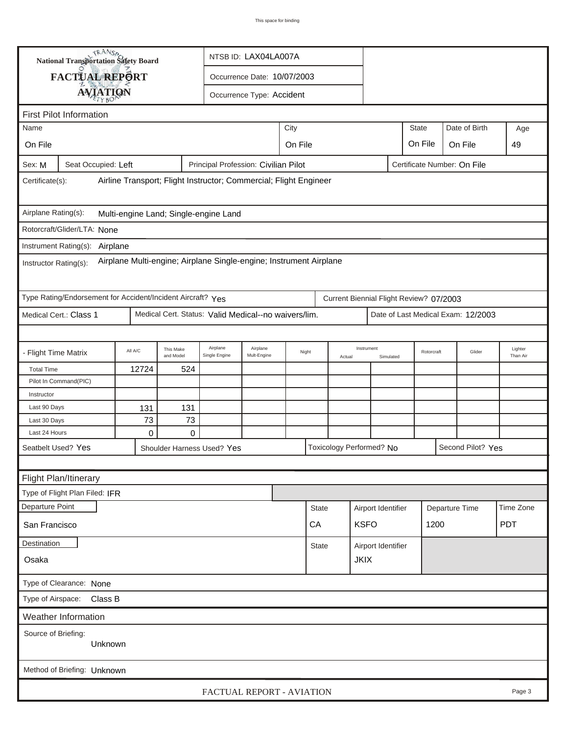|                                                                                                      | <b>National Transportation Safety Board</b><br>NTSB ID: LAX04LA007A |                                                      |                             |                           |         |                    |                    |                                         |                                      |              |  |                                    |                     |
|------------------------------------------------------------------------------------------------------|---------------------------------------------------------------------|------------------------------------------------------|-----------------------------|---------------------------|---------|--------------------|--------------------|-----------------------------------------|--------------------------------------|--------------|--|------------------------------------|---------------------|
| FACTUAL REPORT                                                                                       |                                                                     |                                                      | Occurrence Date: 10/07/2003 |                           |         |                    |                    |                                         |                                      |              |  |                                    |                     |
| <b>AVIATION</b>                                                                                      |                                                                     |                                                      |                             | Occurrence Type: Accident |         |                    |                    |                                         |                                      |              |  |                                    |                     |
|                                                                                                      |                                                                     |                                                      |                             |                           |         |                    |                    |                                         |                                      |              |  |                                    |                     |
| <b>First Pilot Information</b><br>Name                                                               |                                                                     |                                                      |                             |                           |         |                    |                    |                                         |                                      | <b>State</b> |  | Date of Birth                      |                     |
| City                                                                                                 |                                                                     |                                                      |                             |                           |         |                    |                    |                                         |                                      |              |  | Age                                |                     |
| On File                                                                                              |                                                                     |                                                      |                             |                           | On File |                    |                    |                                         |                                      | On File      |  | On File                            | 49                  |
| Seat Occupied: Left<br>Principal Profession: Civilian Pilot<br>Certificate Number: On File<br>Sex: M |                                                                     |                                                      |                             |                           |         |                    |                    |                                         |                                      |              |  |                                    |                     |
| Airline Transport; Flight Instructor; Commercial; Flight Engineer<br>Certificate(s):                 |                                                                     |                                                      |                             |                           |         |                    |                    |                                         |                                      |              |  |                                    |                     |
| Airplane Rating(s):<br>Multi-engine Land; Single-engine Land                                         |                                                                     |                                                      |                             |                           |         |                    |                    |                                         |                                      |              |  |                                    |                     |
| Rotorcraft/Glider/LTA: None                                                                          |                                                                     |                                                      |                             |                           |         |                    |                    |                                         |                                      |              |  |                                    |                     |
| Instrument Rating(s): Airplane                                                                       |                                                                     |                                                      |                             |                           |         |                    |                    |                                         |                                      |              |  |                                    |                     |
| Instructor Rating(s):                                                                                | Airplane Multi-engine; Airplane Single-engine; Instrument Airplane  |                                                      |                             |                           |         |                    |                    |                                         |                                      |              |  |                                    |                     |
| Type Rating/Endorsement for Accident/Incident Aircraft? Yes                                          |                                                                     |                                                      |                             |                           |         |                    |                    | Current Biennial Flight Review? 07/2003 |                                      |              |  |                                    |                     |
| Medical Cert.: Class 1                                                                               |                                                                     | Medical Cert. Status: Valid Medical--no waivers/lim. |                             |                           |         |                    |                    |                                         |                                      |              |  | Date of Last Medical Exam: 12/2003 |                     |
|                                                                                                      |                                                                     |                                                      |                             |                           |         |                    |                    |                                         |                                      |              |  |                                    |                     |
| - Flight Time Matrix                                                                                 | All A/C                                                             | This Make<br>and Model                               | Airplane<br>Single Engine   | Airplane<br>Mult-Engine   |         | Night              | Actual             | Instrument                              | Simulated                            | Rotorcraft   |  | Glider                             | Lighter<br>Than Air |
| <b>Total Time</b>                                                                                    | 12724                                                               | 524                                                  |                             |                           |         |                    |                    |                                         |                                      |              |  |                                    |                     |
| Pilot In Command(PIC)                                                                                |                                                                     |                                                      |                             |                           |         |                    |                    |                                         |                                      |              |  |                                    |                     |
| Instructor                                                                                           |                                                                     |                                                      |                             |                           |         |                    |                    |                                         |                                      |              |  |                                    |                     |
| Last 90 Days                                                                                         | 131                                                                 | 131                                                  |                             |                           |         |                    |                    |                                         |                                      |              |  |                                    |                     |
| Last 30 Days<br>Last 24 Hours                                                                        | 73<br>$\mathbf 0$                                                   | 73<br>$\Omega$                                       |                             |                           |         |                    |                    |                                         |                                      |              |  |                                    |                     |
| Seatbelt Used? Yes                                                                                   |                                                                     |                                                      |                             |                           |         |                    |                    | Toxicology Performed? No                |                                      |              |  | Second Pilot? Yes                  |                     |
|                                                                                                      |                                                                     | Shoulder Harness Used? Yes                           |                             |                           |         |                    |                    |                                         |                                      |              |  |                                    |                     |
|                                                                                                      |                                                                     |                                                      |                             |                           |         |                    |                    |                                         |                                      |              |  |                                    |                     |
| Flight Plan/Itinerary<br>Type of Flight Plan Filed: IFR                                              |                                                                     |                                                      |                             |                           |         |                    |                    |                                         |                                      |              |  |                                    |                     |
| Departure Point                                                                                      |                                                                     |                                                      |                             |                           |         |                    |                    |                                         |                                      |              |  |                                    | Time Zone           |
|                                                                                                      |                                                                     |                                                      |                             |                           |         | <b>State</b><br>CA |                    |                                         | Airport Identifier<br>Departure Time |              |  |                                    |                     |
| San Francisco                                                                                        |                                                                     |                                                      |                             |                           |         |                    |                    | <b>KSFO</b>                             |                                      | 1200         |  |                                    | <b>PDT</b>          |
| Destination                                                                                          |                                                                     |                                                      |                             |                           |         | State              | Airport Identifier |                                         |                                      |              |  |                                    |                     |
| <b>JKIX</b><br>Osaka                                                                                 |                                                                     |                                                      |                             |                           |         |                    |                    |                                         |                                      |              |  |                                    |                     |
| Type of Clearance: None                                                                              |                                                                     |                                                      |                             |                           |         |                    |                    |                                         |                                      |              |  |                                    |                     |
| Class B<br>Type of Airspace:                                                                         |                                                                     |                                                      |                             |                           |         |                    |                    |                                         |                                      |              |  |                                    |                     |
| Weather Information                                                                                  |                                                                     |                                                      |                             |                           |         |                    |                    |                                         |                                      |              |  |                                    |                     |
| Source of Briefing:<br>Unknown                                                                       |                                                                     |                                                      |                             |                           |         |                    |                    |                                         |                                      |              |  |                                    |                     |
| Method of Briefing: Unknown                                                                          |                                                                     |                                                      |                             |                           |         |                    |                    |                                         |                                      |              |  |                                    |                     |
|                                                                                                      |                                                                     |                                                      |                             | FACTUAL REPORT - AVIATION |         |                    |                    |                                         |                                      |              |  |                                    | Page 3              |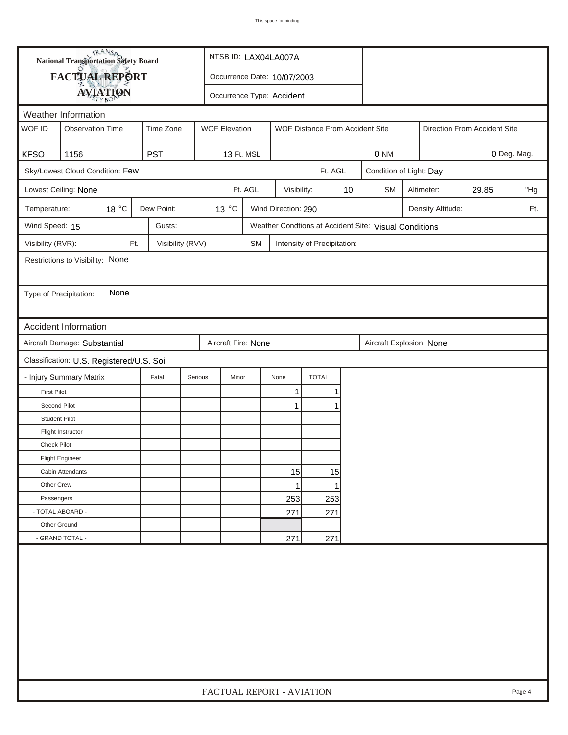|                        | <b>National Transportation Safety Board</b> |                  |                      | NTSB ID: LAX04LA007A        |                     |                                 |    |                                                       |                              |                   |       |     |  |
|------------------------|---------------------------------------------|------------------|----------------------|-----------------------------|---------------------|---------------------------------|----|-------------------------------------------------------|------------------------------|-------------------|-------|-----|--|
|                        | FACTUAL REPORT                              |                  |                      | Occurrence Date: 10/07/2003 |                     |                                 |    |                                                       |                              |                   |       |     |  |
|                        | <b>AVIATION</b>                             |                  |                      | Occurrence Type: Accident   |                     |                                 |    |                                                       |                              |                   |       |     |  |
|                        | Weather Information                         |                  |                      |                             |                     |                                 |    |                                                       |                              |                   |       |     |  |
| WOF ID                 | <b>Observation Time</b>                     | Time Zone        | <b>WOF Elevation</b> |                             |                     | WOF Distance From Accident Site |    |                                                       | Direction From Accident Site |                   |       |     |  |
| <b>KFSO</b>            | 1156                                        | <b>PST</b>       | 13 Ft. MSL           |                             |                     |                                 |    | 0 NM                                                  | 0 Deg. Mag.                  |                   |       |     |  |
|                        | Sky/Lowest Cloud Condition: Few             |                  |                      |                             |                     | Ft. AGL                         |    |                                                       | Condition of Light: Day      |                   |       |     |  |
|                        | Lowest Ceiling: None                        |                  |                      | Ft. AGL                     | Visibility:         |                                 | 10 | <b>SM</b>                                             |                              | Altimeter:        | 29.85 | "Hg |  |
| Temperature:           | 18 °C                                       | Dew Point:       | $13^{\circ}$ C       |                             | Wind Direction: 290 |                                 |    |                                                       |                              | Density Altitude: |       | Ft. |  |
| Wind Speed: 15         |                                             | Gusts:           |                      |                             |                     |                                 |    | Weather Condtions at Accident Site: Visual Conditions |                              |                   |       |     |  |
| Visibility (RVR):      | Ft.                                         | Visibility (RVV) |                      | <b>SM</b>                   |                     | Intensity of Precipitation:     |    |                                                       |                              |                   |       |     |  |
|                        | Restrictions to Visibility: None            |                  |                      |                             |                     |                                 |    |                                                       |                              |                   |       |     |  |
|                        |                                             |                  |                      |                             |                     |                                 |    |                                                       |                              |                   |       |     |  |
| Type of Precipitation: | None                                        |                  |                      |                             |                     |                                 |    |                                                       |                              |                   |       |     |  |
|                        |                                             |                  |                      |                             |                     |                                 |    |                                                       |                              |                   |       |     |  |
|                        | <b>Accident Information</b>                 |                  |                      |                             |                     |                                 |    |                                                       |                              |                   |       |     |  |
|                        | Aircraft Damage: Substantial                |                  | Aircraft Fire: None  |                             |                     |                                 |    | Aircraft Explosion None                               |                              |                   |       |     |  |
|                        | Classification: U.S. Registered/U.S. Soil   |                  |                      |                             |                     |                                 |    |                                                       |                              |                   |       |     |  |
|                        | - Injury Summary Matrix                     | Fatal            | Serious<br>Minor     |                             | None                | <b>TOTAL</b>                    |    |                                                       |                              |                   |       |     |  |
| <b>First Pilot</b>     |                                             |                  |                      |                             | 1                   |                                 |    |                                                       |                              |                   |       |     |  |
| Second Pilot           |                                             |                  |                      |                             | $\mathbf{1}$        |                                 |    |                                                       |                              |                   |       |     |  |
| <b>Student Pilot</b>   |                                             |                  |                      |                             |                     |                                 |    |                                                       |                              |                   |       |     |  |
|                        | Flight Instructor                           |                  |                      |                             |                     |                                 |    |                                                       |                              |                   |       |     |  |
| Check Pilot            |                                             |                  |                      |                             |                     |                                 |    |                                                       |                              |                   |       |     |  |
|                        | <b>Flight Engineer</b>                      |                  |                      |                             |                     |                                 |    |                                                       |                              |                   |       |     |  |
|                        | Cabin Attendants                            |                  |                      |                             | 15                  | 15                              |    |                                                       |                              |                   |       |     |  |
| Other Crew             |                                             |                  |                      |                             | 1                   |                                 |    |                                                       |                              |                   |       |     |  |
| Passengers             |                                             |                  |                      |                             | 253                 | 253                             |    |                                                       |                              |                   |       |     |  |
| - TOTAL ABOARD -       |                                             |                  |                      |                             | 271                 | 271                             |    |                                                       |                              |                   |       |     |  |
| Other Ground           |                                             |                  |                      |                             |                     |                                 |    |                                                       |                              |                   |       |     |  |
|                        | - GRAND TOTAL -                             |                  |                      |                             | 271                 | 271                             |    |                                                       |                              |                   |       |     |  |
|                        |                                             |                  |                      |                             |                     |                                 |    |                                                       |                              |                   |       |     |  |
|                        | FACTUAL REPORT - AVIATION<br>Page 4         |                  |                      |                             |                     |                                 |    |                                                       |                              |                   |       |     |  |